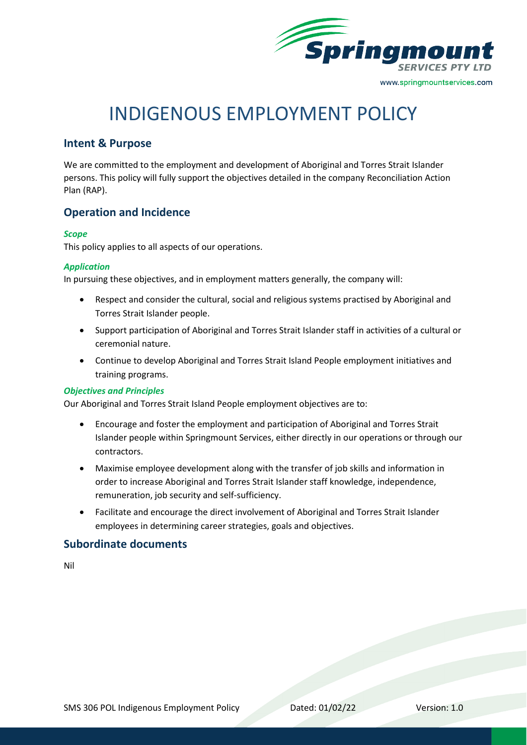

# INDIGENOUS EMPLOYMENT POLICY

# **Intent & Purpose**

We are committed to the employment and development of Aboriginal and Torres Strait Islander persons. This policy will fully support the objectives detailed in the company Reconciliation Action Plan (RAP).

## **Operation and Incidence**

#### *Scope*

This policy applies to all aspects of our operations.

#### *Application*

In pursuing these objectives, and in employment matters generally, the company will:

- Respect and consider the cultural, social and religious systems practised by Aboriginal and Torres Strait Islander people.
- Support participation of Aboriginal and Torres Strait Islander staff in activities of a cultural or ceremonial nature.
- Continue to develop Aboriginal and Torres Strait Island People employment initiatives and training programs.

#### *Objectives and Principles*

Our Aboriginal and Torres Strait Island People employment objectives are to:

- Encourage and foster the employment and participation of Aboriginal and Torres Strait Islander people within Springmount Services, either directly in our operations or through our contractors.
- Maximise employee development along with the transfer of job skills and information in order to increase Aboriginal and Torres Strait Islander staff knowledge, independence, remuneration, job security and self-sufficiency.
- Facilitate and encourage the direct involvement of Aboriginal and Torres Strait Islander employees in determining career strategies, goals and objectives.

## **Subordinate documents**

Nil